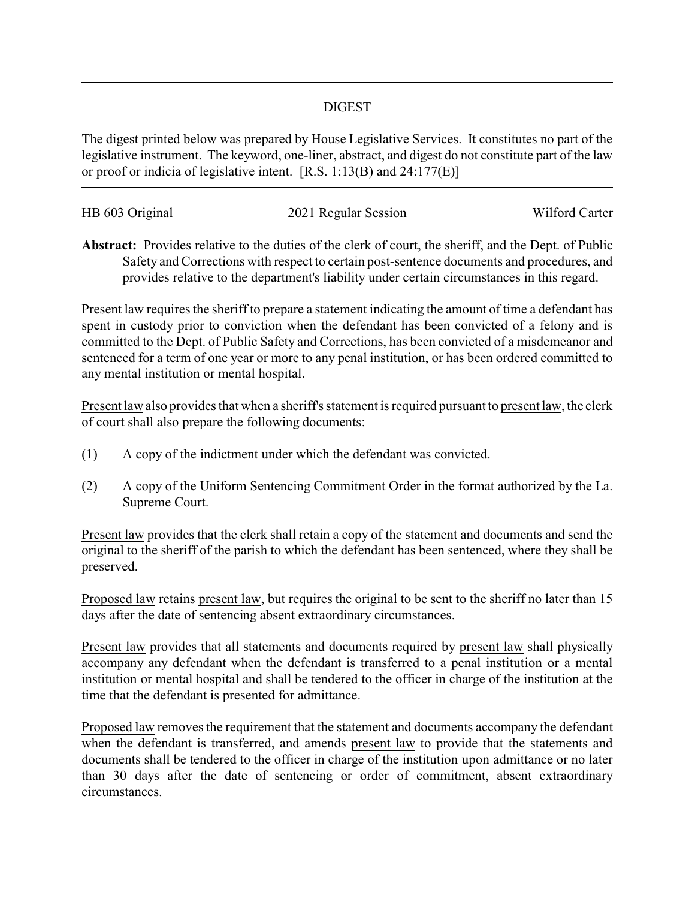## DIGEST

The digest printed below was prepared by House Legislative Services. It constitutes no part of the legislative instrument. The keyword, one-liner, abstract, and digest do not constitute part of the law or proof or indicia of legislative intent. [R.S. 1:13(B) and 24:177(E)]

| HB 603 Original | 2021 Regular Session | Wilford Carter |
|-----------------|----------------------|----------------|
|                 |                      |                |

**Abstract:** Provides relative to the duties of the clerk of court, the sheriff, and the Dept. of Public Safety and Corrections with respect to certain post-sentence documents and procedures, and provides relative to the department's liability under certain circumstances in this regard.

Present law requires the sheriff to prepare a statement indicating the amount of time a defendant has spent in custody prior to conviction when the defendant has been convicted of a felony and is committed to the Dept. of Public Safety and Corrections, has been convicted of a misdemeanor and sentenced for a term of one year or more to any penal institution, or has been ordered committed to any mental institution or mental hospital.

Present law also provides that when a sheriff's statement is required pursuant to present law, the clerk of court shall also prepare the following documents:

- (1) A copy of the indictment under which the defendant was convicted.
- (2) A copy of the Uniform Sentencing Commitment Order in the format authorized by the La. Supreme Court.

Present law provides that the clerk shall retain a copy of the statement and documents and send the original to the sheriff of the parish to which the defendant has been sentenced, where they shall be preserved.

Proposed law retains present law, but requires the original to be sent to the sheriff no later than 15 days after the date of sentencing absent extraordinary circumstances.

Present law provides that all statements and documents required by present law shall physically accompany any defendant when the defendant is transferred to a penal institution or a mental institution or mental hospital and shall be tendered to the officer in charge of the institution at the time that the defendant is presented for admittance.

Proposed law removes the requirement that the statement and documents accompany the defendant when the defendant is transferred, and amends present law to provide that the statements and documents shall be tendered to the officer in charge of the institution upon admittance or no later than 30 days after the date of sentencing or order of commitment, absent extraordinary circumstances.